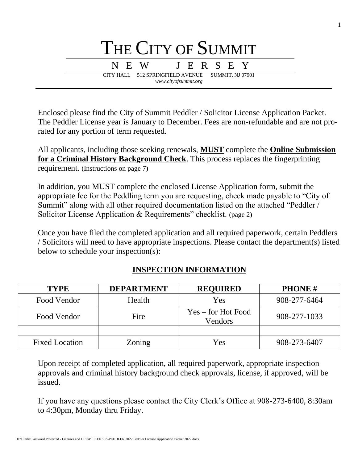

Enclosed please find the City of Summit Peddler / Solicitor License Application Packet. The Peddler License year is January to December. Fees are non-refundable and are not prorated for any portion of term requested.

All applicants, including those seeking renewals, **MUST** complete the **Online Submission for a Criminal History Background Check**. This process replaces the fingerprinting requirement. (Instructions on page 7)

In addition, you MUST complete the enclosed License Application form, submit the appropriate fee for the Peddling term you are requesting, check made payable to "City of Summit" along with all other required documentation listed on the attached "Peddler / Solicitor License Application & Requirements" checklist. (page 2)

Once you have filed the completed application and all required paperwork, certain Peddlers / Solicitors will need to have appropriate inspections. Please contact the department(s) listed below to schedule your inspection(s):

| <b>TYPE</b>           | <b>DEPARTMENT</b> | <b>REQUIRED</b>                 | <b>PHONE#</b> |
|-----------------------|-------------------|---------------------------------|---------------|
| Food Vendor           | Health            | Yes                             | 908-277-6464  |
| Food Vendor           | Fire              | $Yes - for Hot Food$<br>Vendors | 908-277-1033  |
|                       |                   |                                 |               |
| <b>Fixed Location</b> | Zoning            | Yes                             | 908-273-6407  |

# **INSPECTION INFORMATION**

Upon receipt of completed application, all required paperwork, appropriate inspection approvals and criminal history background check approvals, license, if approved, will be issued.

If you have any questions please contact the City Clerk's Office at 908-273-6400, 8:30am to 4:30pm, Monday thru Friday.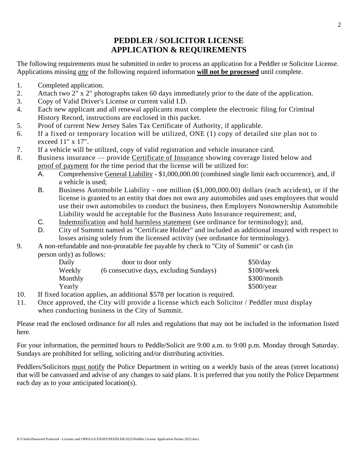# **PEDDLER / SOLICITOR LICENSE APPLICATION & REQUIREMENTS**

The following requirements must be submitted in order to process an application for a Peddler or Solicitor License. Applications missing *any* of the following required information **will not be processed** until complete.

- 1. Completed application.
- 2. Attach two 2" x 2" photographs taken 60 days immediately prior to the date of the application.
- 3. Copy of Valid Driver's License or current valid I.D.
- 4. Each new applicant and all renewal applicants must complete the electronic filing for Criminal History Record, instructions are enclosed in this packet.
- 5. Proof of current New Jersey Sales Tax Certificate of Authority, if applicable.
- 6. If a fixed or temporary location will be utilized, ONE (1) copy of detailed site plan not to exceed 11" x 17".
- 7. If a vehicle will be utilized, copy of valid registration and vehicle insurance card.
- 8. Business insurance provide Certificate of Insurance showing coverage listed below and proof of payment for the time period that the license will be utilized for:
	- A. Comprehensive General Liability \$1,000,000.00 (combined single limit each occurrence), and, if a vehicle is used;
	- B. Business Automobile Liability one million (\$1,000,000.00) dollars (each accident), or if the license is granted to an entity that does not own any automobiles and uses employees that would use their own automobiles to conduct the business, then Employers Nonownership Automobile Liability would be acceptable for the Business Auto Insurance requirement; and,
	- C. Indemnification and hold harmless statement (see ordinance for terminology); and,
	- D. City of Summit named as "Certificate Holder" and included as additional insured with respect to losses arising solely from the licensed activity (see ordinance for terminology).
- 9. A non-refundable and non-proratable fee payable by check to "City of Summit" or cash (in person only) as follows:

| Daily   | door to door only                       | \$50/day      |
|---------|-----------------------------------------|---------------|
| Weekly  | (6 consecutive days, excluding Sundays) | \$100/week    |
| Monthly |                                         | $$300/m$ onth |
| Yearly  |                                         | \$500/year    |

- 10. If fixed location applies, an additional \$578 per location is required.
- 11. Once approved, the City will provide a license which each Solicitor / Peddler must display when conducting business in the City of Summit.

Please read the enclosed ordinance for all rules and regulations that may not be included in the information listed here.

For your information, the permitted hours to Peddle/Solicit are 9:00 a.m. to 9:00 p.m. Monday through Saturday. Sundays are prohibited for selling, soliciting and/or distributing activities.

Peddlers/Solicitors must notify the Police Department in writing on a weekly basis of the areas (street locations) that will be canvassed and advise of any changes to said plans. It is preferred that you notify the Police Department each day as to your anticipated location(s).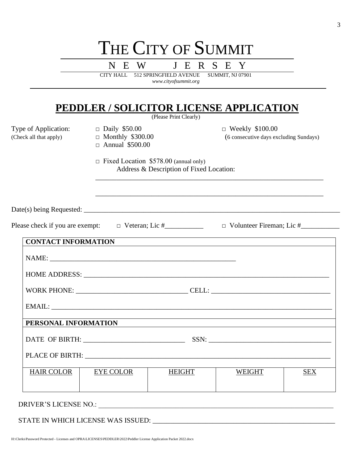| N E W<br>J E R S E Y<br>CITY HALL 512 SPRINGFIELD AVENUE<br><b>SUMMIT, NJ 07901</b><br>www.cityofsummit.org |                                                                                          |                        |                                                                  |     |
|-------------------------------------------------------------------------------------------------------------|------------------------------------------------------------------------------------------|------------------------|------------------------------------------------------------------|-----|
|                                                                                                             | <b>PEDDLER / SOLICITOR LICENSE APPLICATION</b>                                           | (Please Print Clearly) |                                                                  |     |
| Type of Application:<br>(Check all that apply)                                                              | $\Box$ Daily \$50.00<br>$\Box$ Monthly \$300.00<br>$\Box$ Annual \$500.00                |                        | $\Box$ Weekly \$100.00<br>(6 consecutive days excluding Sundays) |     |
|                                                                                                             | $\Box$ Fixed Location \$578.00 (annual only)<br>Address & Description of Fixed Location: |                        |                                                                  |     |
|                                                                                                             |                                                                                          |                        |                                                                  |     |
|                                                                                                             |                                                                                          |                        |                                                                  |     |
|                                                                                                             |                                                                                          |                        |                                                                  |     |
| <b>CONTACT INFORMATION</b>                                                                                  |                                                                                          |                        |                                                                  |     |
|                                                                                                             |                                                                                          |                        |                                                                  |     |
|                                                                                                             |                                                                                          |                        |                                                                  |     |
|                                                                                                             |                                                                                          |                        |                                                                  |     |
|                                                                                                             |                                                                                          |                        |                                                                  |     |
| PERSONAL INFORMATION                                                                                        |                                                                                          |                        |                                                                  |     |
|                                                                                                             |                                                                                          |                        |                                                                  |     |
|                                                                                                             |                                                                                          |                        |                                                                  |     |
| HAIR COLOR   EYE COLOR                                                                                      |                                                                                          | HEIGHT                 | WEIGHT                                                           | SEX |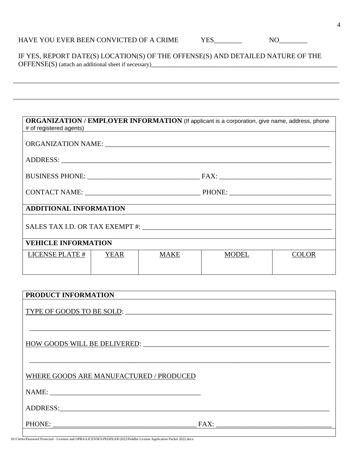$YES$  NO  $\Box$ 

 IF YES, REPORT DATE(S) LOCATION(S) OF THE OFFENSE(S) AND DETAILED NATURE OF THE OFFENSE(S) (attach an additional sheet if necessary)\_\_\_\_\_\_\_\_\_\_\_\_\_\_\_\_\_\_\_\_\_\_\_\_\_\_\_\_

\_\_\_\_\_\_\_\_\_\_\_\_\_\_\_\_\_\_\_\_\_\_\_\_\_\_\_\_\_\_\_\_\_\_\_\_\_\_\_\_\_\_\_\_\_\_\_\_\_\_\_\_\_\_\_\_\_\_\_\_\_\_\_\_\_\_\_\_\_\_\_\_\_\_\_\_\_\_\_\_\_\_\_\_\_\_\_\_\_\_\_\_\_

\_\_\_\_\_\_\_\_\_\_\_\_\_\_\_\_\_\_\_\_\_\_\_\_\_\_\_\_\_\_\_\_\_\_\_\_\_\_\_\_\_\_\_\_\_\_\_\_\_\_\_\_\_\_\_\_\_\_\_\_\_\_\_\_\_\_\_\_\_\_\_\_\_\_\_\_\_\_\_\_\_\_\_\_\_\_\_\_\_\_\_\_\_

# **ORGANIZATION / EMPLOYER INFORMATION** (If applicant is a corporation, give name, address, phone # of registered agents) ORGANIZATION NAME: \_\_\_\_\_\_\_\_\_\_\_\_\_\_\_\_\_\_\_\_\_\_\_\_\_\_\_\_\_\_\_\_\_\_\_\_\_\_\_\_\_\_\_\_\_\_\_\_\_\_\_\_\_\_\_\_\_\_\_\_\_\_\_\_ ADDRESS: BUSINESS PHONE: \_\_\_\_\_\_\_\_\_\_\_\_\_\_\_\_\_\_\_\_\_\_\_\_\_\_\_\_\_\_\_\_ FAX: \_\_\_\_\_\_\_\_\_\_\_\_\_\_\_\_\_\_\_\_\_\_\_\_\_\_\_\_\_\_\_\_ CONTACT NAME: \_\_\_\_\_\_\_\_\_\_\_\_\_\_\_\_\_\_\_\_\_\_\_\_\_\_\_\_\_\_\_\_\_ PHONE: \_\_\_\_\_\_\_\_\_\_\_\_\_\_\_\_\_\_\_\_\_\_\_\_\_\_\_\_\_ **ADDITIONAL INFORMATION** SALES TAX I.D. OR TAX EXEMPT #: \_\_\_\_\_\_\_\_\_\_\_\_\_\_\_\_\_\_\_\_\_\_\_\_\_\_\_\_\_\_\_\_\_\_\_\_\_\_\_\_\_\_\_\_\_\_\_\_\_\_\_\_\_\_ **VEHICLE INFORMATION** LICENSE PLATE # YEAR | MAKE | MODEL | COLOR

| PRODUCT INFORMATION                     |      |
|-----------------------------------------|------|
|                                         |      |
| HOW GOODS WILL BE DELIVERED:            |      |
| WHERE GOODS ARE MANUFACTURED / PRODUCED |      |
|                                         |      |
| ADDRESS:                                |      |
|                                         | FAX: |
|                                         |      |

H:\Clerks\Password Protected - Licenses and OPRA\LICENSES\PEDDLER\2022\Peddler License Application Packet 2022.docx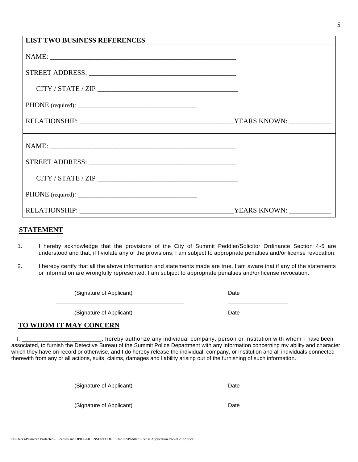| <b>LIST TWO BUSINESS REFERENCES</b>                                                                                                                                                                                                                                                                                                                                                                                                                                 |              |
|---------------------------------------------------------------------------------------------------------------------------------------------------------------------------------------------------------------------------------------------------------------------------------------------------------------------------------------------------------------------------------------------------------------------------------------------------------------------|--------------|
|                                                                                                                                                                                                                                                                                                                                                                                                                                                                     |              |
|                                                                                                                                                                                                                                                                                                                                                                                                                                                                     |              |
| $\text{CITY / STATE / ZIP} \_\!\_\!\_\!\_ \text{CITY / STATE /{} \_\!\_\!\_ \text{CITY /{} \_\!\_\!\_ \text{CITY /{} \_\!\_\!\_ \text{CITY /{} \_\!\_\!\_ \text{CITY /{} \_\!\_\!\_ \text{CITY /{} \_\!\_\!\_ \text{CITY /{} \_\!\_\!\_ \text{CITY /{} \_\!\_\!\_ \text{CITY /{} \_\!\_\!\_ \text{CITY /{} \_\!\_\!\_ \text{CITY /{} \_\!\_\!\_ \text{CITY /{} \_\!\_\!\_ \text{CITY /{} \_\!\_\!\_ \text{CITY /{} \_\!\_\!\_ \text{CITY /{} \_\!\_\!\_ \text{CITY$ |              |
|                                                                                                                                                                                                                                                                                                                                                                                                                                                                     |              |
|                                                                                                                                                                                                                                                                                                                                                                                                                                                                     |              |
|                                                                                                                                                                                                                                                                                                                                                                                                                                                                     |              |
|                                                                                                                                                                                                                                                                                                                                                                                                                                                                     |              |
| CITY / STATE / ZIP                                                                                                                                                                                                                                                                                                                                                                                                                                                  |              |
|                                                                                                                                                                                                                                                                                                                                                                                                                                                                     |              |
| <b>RELATIONSHIP:</b>                                                                                                                                                                                                                                                                                                                                                                                                                                                | YEARS KNOWN: |

#### **STATEMENT**

- 1. I hereby acknowledge that the provisions of the City of Summit Peddler/Solicitor Ordinance Section 4-5 are understood and that, if I violate any of the provisions, I am subject to appropriate penalties and/or license revocation.
- 2. I hereby certify that all the above information and statements made are true. I am aware that if any of the statements or information are wrongfully represented, I am subject to appropriate penalties and/or license revocation.

(Signature of Applicant) Date

(Signature of Applicant) Date

### **TO WHOM IT MAY CONCERN**

 I, \_\_\_\_\_\_\_\_\_\_\_\_\_\_\_\_\_\_\_\_\_\_\_\_, hereby authorize any individual company, person or institution with whom I have been associated, to furnish the Detective Bureau of the Summit Police Department with any information concerning my ability and character which they have on record or otherwise, and I do hereby release the individual, company, or institution and all individuals connected therewith from any or all actions, suits, claims, damages and liability arising out of the furnishing of such information.

(Signature of Applicant) Date

(Signature of Applicant) Date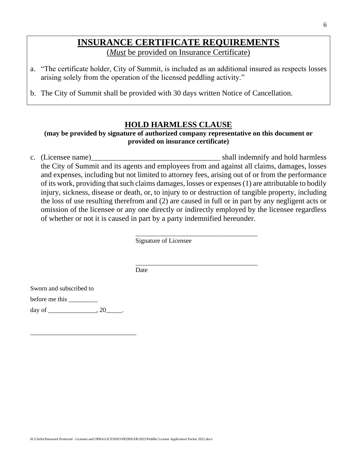# **INSURANCE CERTIFICATE REQUIREMENTS** (*Must* be provided on Insurance Certificate)

- a. "The certificate holder, City of Summit, is included as an additional insured as respects losses arising solely from the operation of the licensed peddling activity."
- b. The City of Summit shall be provided with 30 days written Notice of Cancellation.

## **HOLD HARMLESS CLAUSE**

#### **(may be provided by signature of authorized company representative on this document or provided on insurance certificate)**

c. (Licensee name) shall indemnify and hold harmless the City of Summit and its agents and employees from and against all claims, damages, losses and expenses, including but not limited to attorney fees, arising out of or from the performance of its work, providing that such claims damages, losses or expenses (1) are attributable to bodily injury, sickness, disease or death, or, to injury to or destruction of tangible property, including the loss of use resulting therefrom and (2) are caused in full or in part by any negligent acts or omission of the licensee or any one directly or indirectly employed by the licensee regardless of whether or not it is caused in part by a party indemnified hereunder.

\_\_\_\_\_\_\_\_\_\_\_\_\_\_\_\_\_\_\_\_\_\_\_\_\_\_\_\_\_\_\_\_\_\_\_\_\_\_

\_\_\_\_\_\_\_\_\_\_\_\_\_\_\_\_\_\_\_\_\_\_\_\_\_\_\_\_\_\_\_\_\_\_\_\_\_\_

Signature of Licensee

Date

Sworn and subscribed to

before me this \_\_\_\_\_\_\_\_\_

day of \_\_\_\_\_\_\_\_\_\_\_\_\_\_\_, 20\_\_\_\_\_.

\_\_\_\_\_\_\_\_\_\_\_\_\_\_\_\_\_\_\_\_\_\_\_\_\_\_\_\_\_\_\_\_\_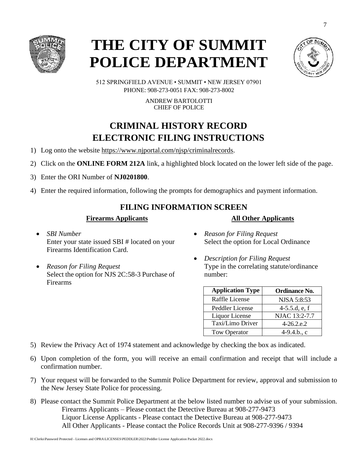

# **THE CITY OF SUMMIT POLICE DEPARTMENT**



512 SPRINGFIELD AVENUE • SUMMIT • NEW JERSEY 07901 PHONE: 908-273-0051 FAX: 908-273-8002

> ANDREW BARTOLOTTI CHIEF OF POLICE

# **CRIMINAL HISTORY RECORD ELECTRONIC FILING INSTRUCTIONS**

- 1) Log onto the website [https://www.njportal.com/njsp/criminalrecords.](https://www.njportal.com/njsp/criminalrecords)
- 2) Click on the **ONLINE FORM 212A** link, a highlighted block located on the lower left side of the page.
- 3) Enter the ORI Number of **NJ0201800**.
- 4) Enter the required information, following the prompts for demographics and payment information.

## **FILING INFORMATION SCREEN**

#### **Firearms Applicants**

- *SBI Number* Enter your state issued SBI # located on your Firearms Identification Card.
- *Reason for Filing Request*  Select the option for NJS 2C:58-3 Purchase of Firearms
- *Reason for Filing Request*  Select the option for Local Ordinance

**All Other Applicants**

• *Description for Filing Request* Type in the correlating statute/ordinance number:

| <b>Application Type</b> | <b>Ordinance No.</b> |
|-------------------------|----------------------|
| Raffle License          | NJSA 5:8:53          |
| Peddler License         | $4-5.5.d, e, f$      |
| Liquor License          | NJAC 13:2-7.7        |
| Taxi/Limo Driver        | $4-26.2$ .e.2        |
| <b>Tow Operator</b>     | $4-9.4.b., c$        |

- 5) Review the Privacy Act of 1974 statement and acknowledge by checking the box as indicated.
- 6) Upon completion of the form, you will receive an email confirmation and receipt that will include a confirmation number.
- 7) Your request will be forwarded to the Summit Police Department for review, approval and submission to the New Jersey State Police for processing.
- 8) Please contact the Summit Police Department at the below listed number to advise us of your submission. Firearms Applicants – Please contact the Detective Bureau at 908-277-9473 Liquor License Applicants - Please contact the Detective Bureau at 908-277-9473 All Other Applicants - Please contact the Police Records Unit at 908-277-9396 / 9394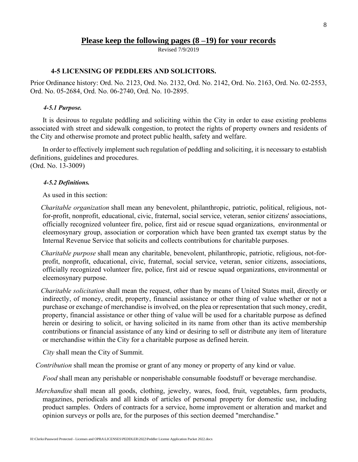#### **Please keep the following pages (8 –19) for your records**

Revised 7/9/2019

#### **4-5 LICENSING OF PEDDLERS AND SOLICITORS.**

Prior Ordinance history: Ord. No. 2123, Ord. No. 2132, Ord. No. 2142, Ord. No. 2163, Ord. No. 02-2553, Ord. No. 05-2684, Ord. No. 06-2740, Ord. No. 10-2895.

#### *4-5.1 Purpose.*

It is desirous to regulate peddling and soliciting within the City in order to ease existing problems associated with street and sidewalk congestion, to protect the rights of property owners and residents of the City and otherwise promote and protect public health, safety and welfare.

In order to effectively implement such regulation of peddling and soliciting, it is necessary to establish definitions, guidelines and procedures. (Ord. No. 13-3009)

#### *4-5.2 Definitions.*

As used in this section:

*Charitable organization* shall mean any benevolent, philanthropic, patriotic, political, religious, notfor-profit, nonprofit, educational, civic, fraternal, social service, veteran, senior citizens' associations, officially recognized volunteer fire, police, first aid or rescue squad organizations, environmental or eleemosynary group, association or corporation which have been granted tax exempt status by the Internal Revenue Service that solicits and collects contributions for charitable purposes.

*Charitable purpose* shall mean any charitable, benevolent, philanthropic, patriotic, religious, not-forprofit, nonprofit, educational, civic, fraternal, social service, veteran, senior citizens, associations, officially recognized volunteer fire, police, first aid or rescue squad organizations, environmental or eleemosynary purpose.

*Charitable solicitation* shall mean the request, other than by means of United States mail, directly or indirectly, of money, credit, property, financial assistance or other thing of value whether or not a purchase or exchange of merchandise is involved, on the plea or representation that such money, credit, property, financial assistance or other thing of value will be used for a charitable purpose as defined herein or desiring to solicit, or having solicited in its name from other than its active membership contributions or financial assistance of any kind or desiring to sell or distribute any item of literature or merchandise within the City for a charitable purpose as defined herein.

*City* shall mean the City of Summit.

*Contribution* shall mean the promise or grant of any money or property of any kind or value.

*Food* shall mean any perishable or nonperishable consumable foodstuff or beverage merchandise.

*Merchandise* shall mean all goods, clothing, jewelry, wares, food, fruit, vegetables, farm products, magazines, periodicals and all kinds of articles of personal property for domestic use, including product samples. Orders of contracts for a service, home improvement or alteration and market and opinion surveys or polls are, for the purposes of this section deemed "merchandise."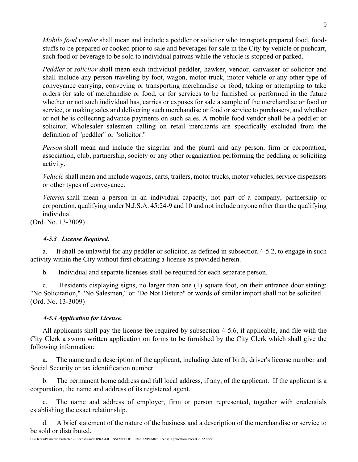*Mobile food vendor* shall mean and include a peddler or solicitor who transports prepared food, foodstuffs to be prepared or cooked prior to sale and beverages for sale in the City by vehicle or pushcart, such food or beverage to be sold to individual patrons while the vehicle is stopped or parked.

*Peddler* or *solicitor* shall mean each individual peddler, hawker, vendor, canvasser or solicitor and shall include any person traveling by foot, wagon, motor truck, motor vehicle or any other type of conveyance carrying, conveying or transporting merchandise or food, taking or attempting to take orders for sale of merchandise or food, or for services to be furnished or performed in the future whether or not such individual has, carries or exposes for sale a sample of the merchandise or food or service, or making sales and delivering such merchandise or food or service to purchasers, and whether or not he is collecting advance payments on such sales. A mobile food vendor shall be a peddler or solicitor. Wholesaler salesmen calling on retail merchants are specifically excluded from the definition of "peddler" or "solicitor."

*Person* shall mean and include the singular and the plural and any person, firm or corporation, association, club, partnership, society or any other organization performing the peddling or soliciting activity.

*Vehicle* shall mean and include wagons, carts, trailers, motor trucks, motor vehicles, service dispensers or other types of conveyance.

*Veteran* shall mean a person in an individual capacity, not part of a company, partnership or corporation, qualifying under N.J.S.A. 45:24-9 and 10 and not include anyone other than the qualifying individual.

(Ord. No. 13-3009)

#### *4-5.3 License Required.*

a. It shall be unlawful for any peddler or solicitor, as defined in subsection 4-5.2, to engage in such activity within the City without first obtaining a license as provided herein.

b. Individual and separate licenses shall be required for each separate person.

c. Residents displaying signs, no larger than one (1) square foot, on their entrance door stating: "No Solicitation," "No Salesmen," or "Do Not Disturb" or words of similar import shall not be solicited. (Ord. No. 13-3009)

#### *4-5.4 Application for License.*

All applicants shall pay the license fee required by subsection 4-5.6, if applicable, and file with the City Clerk a sworn written application on forms to be furnished by the City Clerk which shall give the following information:

a. The name and a description of the applicant, including date of birth, driver's license number and Social Security or tax identification number.

b. The permanent home address and full local address, if any, of the applicant. If the applicant is a corporation, the name and address of its registered agent.

c. The name and address of employer, firm or person represented, together with credentials establishing the exact relationship.

d. A brief statement of the nature of the business and a description of the merchandise or service to be sold or distributed.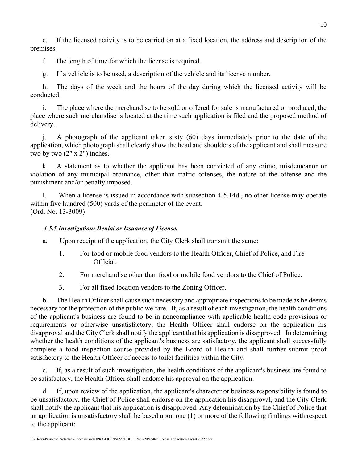e. If the licensed activity is to be carried on at a fixed location, the address and description of the premises.

f. The length of time for which the license is required.

g. If a vehicle is to be used, a description of the vehicle and its license number.

h. The days of the week and the hours of the day during which the licensed activity will be conducted.

i. The place where the merchandise to be sold or offered for sale is manufactured or produced, the place where such merchandise is located at the time such application is filed and the proposed method of delivery.

j. A photograph of the applicant taken sixty (60) days immediately prior to the date of the application, which photograph shall clearly show the head and shoulders of the applicant and shall measure two by two (2" x 2") inches.

k. A statement as to whether the applicant has been convicted of any crime, misdemeanor or violation of any municipal ordinance, other than traffic offenses, the nature of the offense and the punishment and/or penalty imposed.

l. When a license is issued in accordance with subsection 4-5.14d., no other license may operate within five hundred (500) yards of the perimeter of the event. (Ord. No. 13-3009)

#### *4-5.5 Investigation; Denial or Issuance of License.*

- a. Upon receipt of the application, the City Clerk shall transmit the same:
	- 1. For food or mobile food vendors to the Health Officer, Chief of Police, and Fire Official.
	- 2. For merchandise other than food or mobile food vendors to the Chief of Police.
	- 3. For all fixed location vendors to the Zoning Officer.

b. The Health Officer shall cause such necessary and appropriate inspections to be made as he deems necessary for the protection of the public welfare. If, as a result of each investigation, the health conditions of the applicant's business are found to be in noncompliance with applicable health code provisions or requirements or otherwise unsatisfactory, the Health Officer shall endorse on the application his disapproval and the City Clerk shall notify the applicant that his application is disapproved. In determining whether the health conditions of the applicant's business are satisfactory, the applicant shall successfully complete a food inspection course provided by the Board of Health and shall further submit proof satisfactory to the Health Officer of access to toilet facilities within the City.

c. If, as a result of such investigation, the health conditions of the applicant's business are found to be satisfactory, the Health Officer shall endorse his approval on the application.

d. If, upon review of the application, the applicant's character or business responsibility is found to be unsatisfactory, the Chief of Police shall endorse on the application his disapproval, and the City Clerk shall notify the applicant that his application is disapproved. Any determination by the Chief of Police that an application is unsatisfactory shall be based upon one (1) or more of the following findings with respect to the applicant: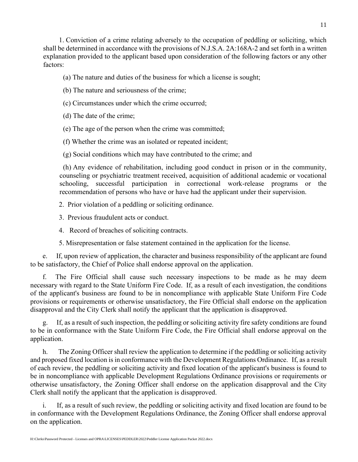1. Conviction of a crime relating adversely to the occupation of peddling or soliciting, which shall be determined in accordance with the provisions of N.J.S.A. 2A:168A-2 and set forth in a written explanation provided to the applicant based upon consideration of the following factors or any other factors:

(a) The nature and duties of the business for which a license is sought;

(b) The nature and seriousness of the crime;

(c) Circumstances under which the crime occurred;

(d) The date of the crime;

(e) The age of the person when the crime was committed;

(f) Whether the crime was an isolated or repeated incident;

(g) Social conditions which may have contributed to the crime; and

(h) Any evidence of rehabilitation, including good conduct in prison or in the community, counseling or psychiatric treatment received, acquisition of additional academic or vocational schooling, successful participation in correctional work-release programs or the recommendation of persons who have or have had the applicant under their supervision.

2. Prior violation of a peddling or soliciting ordinance.

3. Previous fraudulent acts or conduct.

4. Record of breaches of soliciting contracts.

5. Misrepresentation or false statement contained in the application for the license.

e. If, upon review of application, the character and business responsibility of the applicant are found to be satisfactory, the Chief of Police shall endorse approval on the application.

f. The Fire Official shall cause such necessary inspections to be made as he may deem necessary with regard to the State Uniform Fire Code. If, as a result of each investigation, the conditions of the applicant's business are found to be in noncompliance with applicable State Uniform Fire Code provisions or requirements or otherwise unsatisfactory, the Fire Official shall endorse on the application disapproval and the City Clerk shall notify the applicant that the application is disapproved.

If, as a result of such inspection, the peddling or soliciting activity fire safety conditions are found to be in conformance with the State Uniform Fire Code, the Fire Official shall endorse approval on the application.

h. The Zoning Officer shall review the application to determine if the peddling or soliciting activity and proposed fixed location is in conformance with the Development Regulations Ordinance. If, as a result of each review, the peddling or soliciting activity and fixed location of the applicant's business is found to be in noncompliance with applicable Development Regulations Ordinance provisions or requirements or otherwise unsatisfactory, the Zoning Officer shall endorse on the application disapproval and the City Clerk shall notify the applicant that the application is disapproved.

i. If, as a result of such review, the peddling or soliciting activity and fixed location are found to be in conformance with the Development Regulations Ordinance, the Zoning Officer shall endorse approval on the application.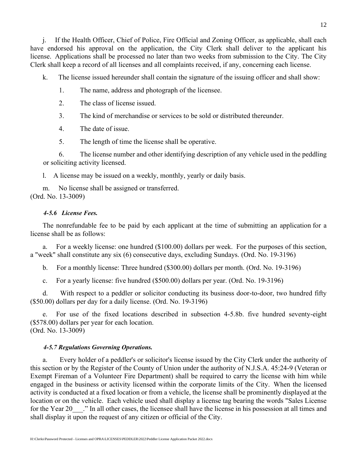j. If the Health Officer, Chief of Police, Fire Official and Zoning Officer, as applicable, shall each have endorsed his approval on the application, the City Clerk shall deliver to the applicant his license. Applications shall be processed no later than two weeks from submission to the City. The City Clerk shall keep a record of all licenses and all complaints received, if any, concerning each license.

k. The license issued hereunder shall contain the signature of the issuing officer and shall show:

- 1. The name, address and photograph of the licensee.
- 2. The class of license issued.
- 3. The kind of merchandise or services to be sold or distributed thereunder.
- 4. The date of issue.
- 5. The length of time the license shall be operative.

6. The license number and other identifying description of any vehicle used in the peddling or soliciting activity licensed.

l. A license may be issued on a weekly, monthly, yearly or daily basis.

m. No license shall be assigned or transferred. (Ord. No. 13-3009)

#### *4-5.6 License Fees.*

The nonrefundable fee to be paid by each applicant at the time of submitting an application for a license shall be as follows:

a. For a weekly license: one hundred (\$100.00) dollars per week. For the purposes of this section, a "week" shall constitute any six (6) consecutive days, excluding Sundays. (Ord. No. 19-3196)

b. For a monthly license: Three hundred (\$300.00) dollars per month. (Ord. No. 19-3196)

c. For a yearly license: five hundred (\$500.00) dollars per year. (Ord. No. 19-3196)

d. With respect to a peddler or solicitor conducting its business door-to-door, two hundred fifty (\$50.00) dollars per day for a daily license. (Ord. No. 19-3196)

e. For use of the fixed locations described in subsection 4-5.8b. five hundred seventy-eight (\$578.00) dollars per year for each location. (Ord. No. 13-3009)

# *4-5.7 Regulations Governing Operations.*

a. Every holder of a peddler's or solicitor's license issued by the City Clerk under the authority of this section or by the Register of the County of Union under the authority of N.J.S.A. 45:24-9 (Veteran or Exempt Fireman of a Volunteer Fire Department) shall be required to carry the license with him while engaged in the business or activity licensed within the corporate limits of the City. When the licensed activity is conducted at a fixed location or from a vehicle, the license shall be prominently displayed at the location or on the vehicle. Each vehicle used shall display a license tag bearing the words "Sales License for the Year 20 cm." In all other cases, the licensee shall have the license in his possession at all times and shall display it upon the request of any citizen or official of the City.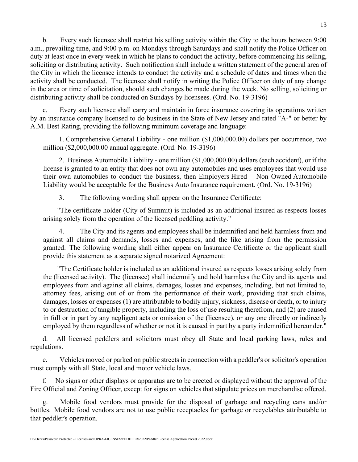b. Every such licensee shall restrict his selling activity within the City to the hours between 9:00 a.m., prevailing time, and 9:00 p.m. on Mondays through Saturdays and shall notify the Police Officer on duty at least once in every week in which he plans to conduct the activity, before commencing his selling, soliciting or distributing activity. Such notification shall include a written statement of the general area of the City in which the licensee intends to conduct the activity and a schedule of dates and times when the activity shall be conducted. The licensee shall notify in writing the Police Officer on duty of any change in the area or time of solicitation, should such changes be made during the week. No selling, soliciting or distributing activity shall be conducted on Sundays by licensees. (Ord. No. 19-3196)

c. Every such licensee shall carry and maintain in force insurance covering its operations written by an insurance company licensed to do business in the State of New Jersey and rated "A-" or better by A.M. Best Rating, providing the following minimum coverage and language:

1. Comprehensive General Liability - one million (\$1,000,000.00) dollars per occurrence, two million (\$2,000,000.00 annual aggregate. (Ord. No. 19-3196)

2. Business Automobile Liability - one million (\$1,000,000.00) dollars (each accident), or if the license is granted to an entity that does not own any automobiles and uses employees that would use their own automobiles to conduct the business, then Employers Hired – Non Owned Automobile Liability would be acceptable for the Business Auto Insurance requirement. (Ord. No. 19-3196)

3. The following wording shall appear on the Insurance Certificate:

"The certificate holder (City of Summit) is included as an additional insured as respects losses arising solely from the operation of the licensed peddling activity."

The City and its agents and employees shall be indemnified and held harmless from and against all claims and demands, losses and expenses, and the like arising from the permission granted. The following wording shall either appear on Insurance Certificate or the applicant shall provide this statement as a separate signed notarized Agreement:

"The Certificate holder is included as an additional insured as respects losses arising solely from the (licensed activity). The (licensee) shall indemnify and hold harmless the City and its agents and employees from and against all claims, damages, losses and expenses, including, but not limited to, attorney fees, arising out of or from the performance of their work, providing that such claims, damages, losses or expenses (1) are attributable to bodily injury, sickness, disease or death, or to injury to or destruction of tangible property, including the loss of use resulting therefrom, and (2) are caused in full or in part by any negligent acts or omission of the (licensee), or any one directly or indirectly employed by them regardless of whether or not it is caused in part by a party indemnified hereunder."

d. All licensed peddlers and solicitors must obey all State and local parking laws, rules and regulations.

e. Vehicles moved or parked on public streets in connection with a peddler's or solicitor's operation must comply with all State, local and motor vehicle laws.

f. No signs or other displays or apparatus are to be erected or displayed without the approval of the Fire Official and Zoning Officer, except for signs on vehicles that stipulate prices on merchandise offered.

g. Mobile food vendors must provide for the disposal of garbage and recycling cans and/or bottles. Mobile food vendors are not to use public receptacles for garbage or recyclables attributable to that peddler's operation.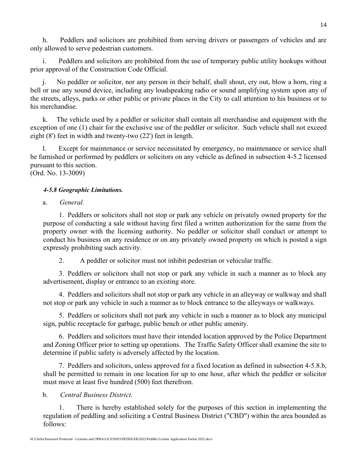h. Peddlers and solicitors are prohibited from serving drivers or passengers of vehicles and are only allowed to serve pedestrian customers.

i. Peddlers and solicitors are prohibited from the use of temporary public utility hookups without prior approval of the Construction Code Official.

No peddler or solicitor, nor any person in their behalf, shall shout, cry out, blow a horn, ring a bell or use any sound device, including any loudspeaking radio or sound amplifying system upon any of the streets, alleys, parks or other public or private places in the City to call attention to his business or to his merchandise.

k. The vehicle used by a peddler or solicitor shall contain all merchandise and equipment with the exception of one (1) chair for the exclusive use of the peddler or solicitor. Such vehicle shall not exceed eight (8') feet in width and twenty-two (22') feet in length.

l. Except for maintenance or service necessitated by emergency, no maintenance or service shall be furnished or performed by peddlers or solicitors on any vehicle as defined in subsection 4-5.2 licensed pursuant to this section. (Ord. No. 13-3009)

#### *4-5.8 Geographic Limitations.*

a. *General.*

1. Peddlers or solicitors shall not stop or park any vehicle on privately owned property for the purpose of conducting a sale without having first filed a written authorization for the same from the property owner with the licensing authority. No peddler or solicitor shall conduct or attempt to conduct his business on any residence or on any privately owned property on which is posted a sign expressly prohibiting such activity.

2. A peddler or solicitor must not inhibit pedestrian or vehicular traffic.

3. Peddlers or solicitors shall not stop or park any vehicle in such a manner as to block any advertisement, display or entrance to an existing store.

4. Peddlers and solicitors shall not stop or park any vehicle in an alleyway or walkway and shall not stop or park any vehicle in such a manner as to block entrance to the alleyways or walkways.

5. Peddlers or solicitors shall not park any vehicle in such a manner as to block any municipal sign, public receptacle for garbage, public bench or other public amenity.

6. Peddlers and solicitors must have their intended location approved by the Police Department and Zoning Officer prior to setting up operations. The Traffic Safety Officer shall examine the site to determine if public safety is adversely affected by the location.

7. Peddlers and solicitors, unless approved for a fixed location as defined in subsection 4-5.8.b, shall be permitted to remain in one location for up to one hour, after which the peddler or solicitor must move at least five hundred (500) feet therefrom.

#### b. *Central Business District.*

1. There is hereby established solely for the purposes of this section in implementing the regulation of peddling and soliciting a Central Business District ("CBD") within the area bounded as follows: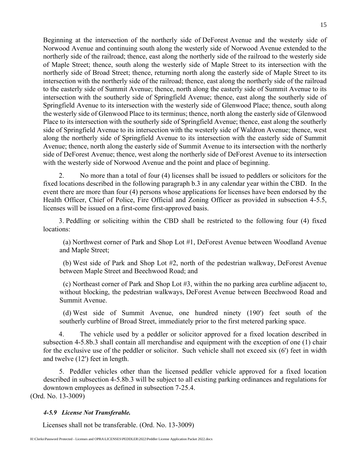Beginning at the intersection of the northerly side of DeForest Avenue and the westerly side of Norwood Avenue and continuing south along the westerly side of Norwood Avenue extended to the northerly side of the railroad; thence, east along the northerly side of the railroad to the westerly side of Maple Street; thence, south along the westerly side of Maple Street to its intersection with the northerly side of Broad Street; thence, returning north along the easterly side of Maple Street to its intersection with the northerly side of the railroad; thence, east along the northerly side of the railroad to the easterly side of Summit Avenue; thence, north along the easterly side of Summit Avenue to its intersection with the southerly side of Springfield Avenue; thence, east along the southerly side of Springfield Avenue to its intersection with the westerly side of Glenwood Place; thence, south along the westerly side of Glenwood Place to its terminus; thence, north along the easterly side of Glenwood Place to its intersection with the southerly side of Springfield Avenue; thence, east along the southerly side of Springfield Avenue to its intersection with the westerly side of Waldron Avenue; thence, west along the northerly side of Springfield Avenue to its intersection with the easterly side of Summit Avenue; thence, north along the easterly side of Summit Avenue to its intersection with the northerly side of DeForest Avenue; thence, west along the northerly side of DeForest Avenue to its intersection with the westerly side of Norwood Avenue and the point and place of beginning.

2. No more than a total of four (4) licenses shall be issued to peddlers or solicitors for the fixed locations described in the following paragraph b.3 in any calendar year within the CBD. In the event there are more than four (4) persons whose applications for licenses have been endorsed by the Health Officer, Chief of Police, Fire Official and Zoning Officer as provided in subsection 4-5.5, licenses will be issued on a first-come first-approved basis.

3. Peddling or soliciting within the CBD shall be restricted to the following four (4) fixed locations:

(a) Northwest corner of Park and Shop Lot #1, DeForest Avenue between Woodland Avenue and Maple Street;

(b) West side of Park and Shop Lot #2, north of the pedestrian walkway, DeForest Avenue between Maple Street and Beechwood Road; and

(c) Northeast corner of Park and Shop Lot #3, within the no parking area curbline adjacent to, without blocking, the pedestrian walkways, DeForest Avenue between Beechwood Road and Summit Avenue.

(d) West side of Summit Avenue, one hundred ninety (190') feet south of the southerly curbline of Broad Street, immediately prior to the first metered parking space.

4. The vehicle used by a peddler or solicitor approved for a fixed location described in subsection 4-5.8b.3 shall contain all merchandise and equipment with the exception of one (1) chair for the exclusive use of the peddler or solicitor. Such vehicle shall not exceed six (6') feet in width and twelve (12') feet in length.

5. Peddler vehicles other than the licensed peddler vehicle approved for a fixed location described in subsection 4-5.8b.3 will be subject to all existing parking ordinances and regulations for downtown employees as defined in subsection 7-25.4. (Ord. No. 13-3009)

#### *4-5.9 License Not Transferable.*

Licenses shall not be transferable. (Ord. No. 13-3009)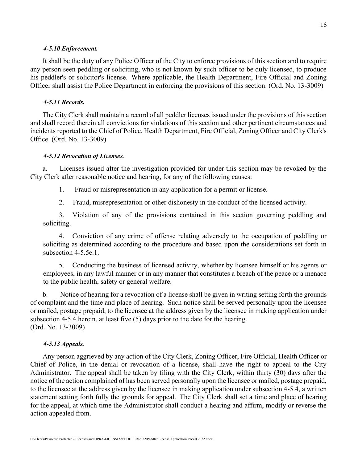#### *4-5.10 Enforcement.*

It shall be the duty of any Police Officer of the City to enforce provisions of this section and to require any person seen peddling or soliciting, who is not known by such officer to be duly licensed, to produce his peddler's or solicitor's license. Where applicable, the Health Department, Fire Official and Zoning Officer shall assist the Police Department in enforcing the provisions of this section. (Ord. No. 13-3009)

#### *4-5.11 Records.*

The City Clerk shall maintain a record of all peddler licenses issued under the provisions of this section and shall record therein all convictions for violations of this section and other pertinent circumstances and incidents reported to the Chief of Police, Health Department, Fire Official, Zoning Officer and City Clerk's Office. (Ord. No. 13-3009)

#### *4-5.12 Revocation of Licenses.*

a. Licenses issued after the investigation provided for under this section may be revoked by the City Clerk after reasonable notice and hearing, for any of the following causes:

1. Fraud or misrepresentation in any application for a permit or license.

2. Fraud, misrepresentation or other dishonesty in the conduct of the licensed activity.

3. Violation of any of the provisions contained in this section governing peddling and soliciting.

4. Conviction of any crime of offense relating adversely to the occupation of peddling or soliciting as determined according to the procedure and based upon the considerations set forth in subsection 4-5.5e.1.

5. Conducting the business of licensed activity, whether by licensee himself or his agents or employees, in any lawful manner or in any manner that constitutes a breach of the peace or a menace to the public health, safety or general welfare.

b. Notice of hearing for a revocation of a license shall be given in writing setting forth the grounds of complaint and the time and place of hearing. Such notice shall be served personally upon the licensee or mailed, postage prepaid, to the licensee at the address given by the licensee in making application under subsection 4-5.4 herein, at least five (5) days prior to the date for the hearing. (Ord. No. 13-3009)

#### *4-5.13 Appeals.*

Any person aggrieved by any action of the City Clerk, Zoning Officer, Fire Official, Health Officer or Chief of Police, in the denial or revocation of a license, shall have the right to appeal to the City Administrator. The appeal shall be taken by filing with the City Clerk, within thirty (30) days after the notice of the action complained of has been served personally upon the licensee or mailed, postage prepaid, to the licensee at the address given by the licensee in making application under subsection 4-5.4, a written statement setting forth fully the grounds for appeal. The City Clerk shall set a time and place of hearing for the appeal, at which time the Administrator shall conduct a hearing and affirm, modify or reverse the action appealed from.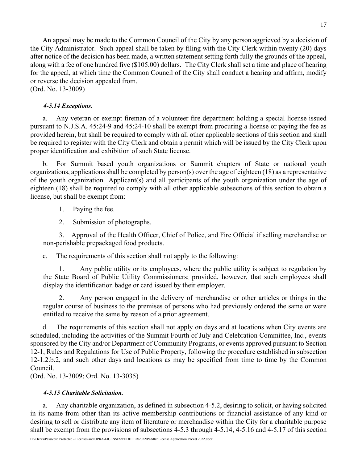An appeal may be made to the Common Council of the City by any person aggrieved by a decision of the City Administrator. Such appeal shall be taken by filing with the City Clerk within twenty (20) days after notice of the decision has been made, a written statement setting forth fully the grounds of the appeal, along with a fee of one hundred five (\$105.00) dollars. The City Clerk shall set a time and place of hearing for the appeal, at which time the Common Council of the City shall conduct a hearing and affirm, modify or reverse the decision appealed from.

(Ord. No. 13-3009)

#### *4-5.14 Exceptions.*

a. Any veteran or exempt fireman of a volunteer fire department holding a special license issued pursuant to N.J.S.A. 45:24-9 and 45:24-10 shall be exempt from procuring a license or paying the fee as provided herein, but shall be required to comply with all other applicable sections of this section and shall be required to register with the City Clerk and obtain a permit which will be issued by the City Clerk upon proper identification and exhibition of such State license.

b. For Summit based youth organizations or Summit chapters of State or national youth organizations, applications shall be completed by person(s) over the age of eighteen (18) as a representative of the youth organization. Applicant(s) and all participants of the youth organization under the age of eighteen (18) shall be required to comply with all other applicable subsections of this section to obtain a license, but shall be exempt from:

- 1. Paying the fee.
- 2. Submission of photographs.

3. Approval of the Health Officer, Chief of Police, and Fire Official if selling merchandise or non-perishable prepackaged food products.

c. The requirements of this section shall not apply to the following:

1. Any public utility or its employees, where the public utility is subject to regulation by the State Board of Public Utility Commissioners; provided, however, that such employees shall display the identification badge or card issued by their employer.

2. Any person engaged in the delivery of merchandise or other articles or things in the regular course of business to the premises of persons who had previously ordered the same or were entitled to receive the same by reason of a prior agreement.

d. The requirements of this section shall not apply on days and at locations when City events are scheduled, including the activities of the Summit Fourth of July and Celebration Committee, Inc., events sponsored by the City and/or Department of Community Programs, or events approved pursuant to Section 12-1, Rules and Regulations for Use of Public Property, following the procedure established in subsection 12-1.2.b.2, and such other days and locations as may be specified from time to time by the Common Council.

(Ord. No. 13-3009; Ord. No. 13-3035)

### *4-5.15 Charitable Solicitation.*

a. Any charitable organization, as defined in subsection 4-5.2, desiring to solicit, or having solicited in its name from other than its active membership contributions or financial assistance of any kind or desiring to sell or distribute any item of literature or merchandise within the City for a charitable purpose shall be exempt from the provisions of subsections 4-5.3 through 4-5.14, 4-5.16 and 4-5.17 of this section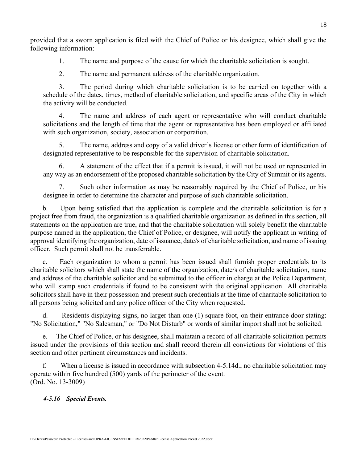provided that a sworn application is filed with the Chief of Police or his designee, which shall give the following information:

1. The name and purpose of the cause for which the charitable solicitation is sought.

2. The name and permanent address of the charitable organization.

3. The period during which charitable solicitation is to be carried on together with a schedule of the dates, times, method of charitable solicitation, and specific areas of the City in which the activity will be conducted.

4. The name and address of each agent or representative who will conduct charitable solicitations and the length of time that the agent or representative has been employed or affiliated with such organization, society, association or corporation.

5. The name, address and copy of a valid driver's license or other form of identification of designated representative to be responsible for the supervision of charitable solicitation.

6. A statement of the effect that if a permit is issued, it will not be used or represented in any way as an endorsement of the proposed charitable solicitation by the City of Summit or its agents.

7. Such other information as may be reasonably required by the Chief of Police, or his designee in order to determine the character and purpose of such charitable solicitation.

b. Upon being satisfied that the application is complete and the charitable solicitation is for a project free from fraud, the organization is a qualified charitable organization as defined in this section, all statements on the application are true, and that the charitable solicitation will solely benefit the charitable purpose named in the application, the Chief of Police, or designee, will notify the applicant in writing of approval identifying the organization, date of issuance, date/s of charitable solicitation, and name of issuing officer. Such permit shall not be transferrable.

c. Each organization to whom a permit has been issued shall furnish proper credentials to its charitable solicitors which shall state the name of the organization, date/s of charitable solicitation, name and address of the charitable solicitor and be submitted to the officer in charge at the Police Department, who will stamp such credentials if found to be consistent with the original application. All charitable solicitors shall have in their possession and present such credentials at the time of charitable solicitation to all persons being solicited and any police officer of the City when requested.

d. Residents displaying signs, no larger than one (1) square foot, on their entrance door stating: "No Solicitation," "No Salesman," or "Do Not Disturb" or words of similar import shall not be solicited.

e. The Chief of Police, or his designee, shall maintain a record of all charitable solicitation permits issued under the provisions of this section and shall record therein all convictions for violations of this section and other pertinent circumstances and incidents.

f. When a license is issued in accordance with subsection 4-5.14d., no charitable solicitation may operate within five hundred (500) yards of the perimeter of the event. (Ord. No. 13-3009)

#### *4-5.16 Special Events.*